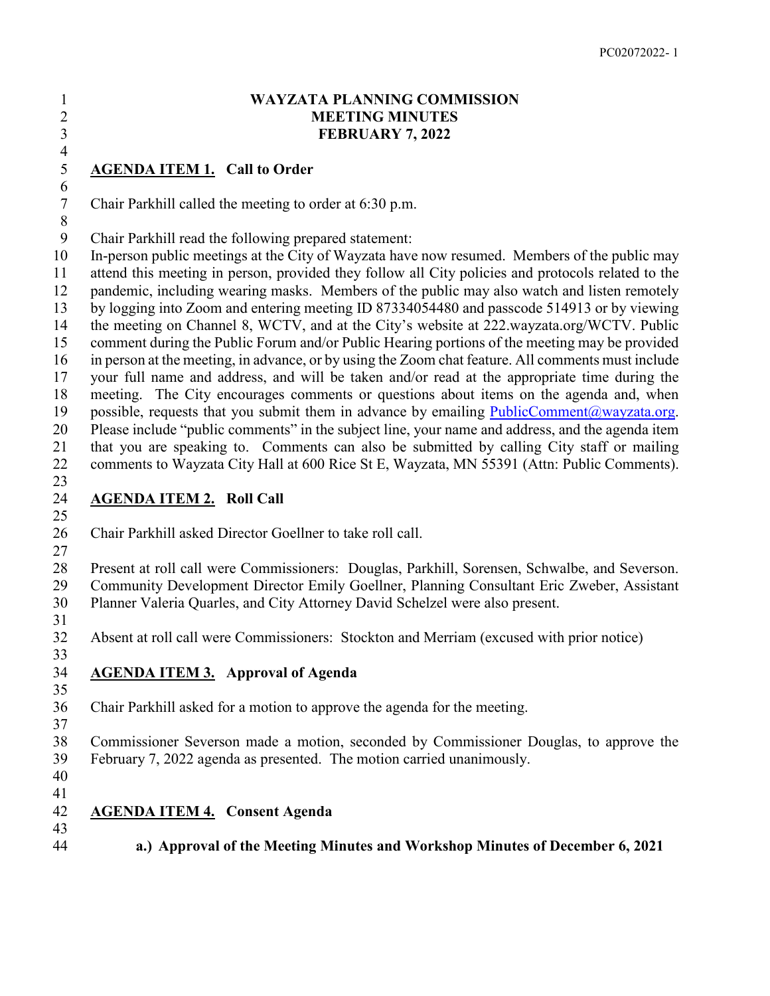#### **WAYZATA PLANNING COMMISSION MEETING MINUTES FEBRUARY 7, 2022**

## **AGENDA ITEM 1. Call to Order**

Chair Parkhill called the meeting to order at 6:30 p.m.

Chair Parkhill read the following prepared statement:

 In-person public meetings at the City of Wayzata have now resumed. Members of the public may attend this meeting in person, provided they follow all City policies and protocols related to the pandemic, including wearing masks. Members of the public may also watch and listen remotely by logging into Zoom and entering meeting ID 87334054480 and passcode 514913 or by viewing the meeting on Channel 8, WCTV, and at the City's website at 222.wayzata.org/WCTV. Public comment during the Public Forum and/or Public Hearing portions of the meeting may be provided in person at the meeting, in advance, or by using the Zoom chat feature. All comments must include your full name and address, and will be taken and/or read at the appropriate time during the meeting. The City encourages comments or questions about items on the agenda and, when 19 possible, requests that you submit them in advance by emailing  $PublicComment@wayzata.org$ . Please include "public comments" in the subject line, your name and address, and the agenda item that you are speaking to. Comments can also be submitted by calling City staff or mailing comments to Wayzata City Hall at 600 Rice St E, Wayzata, MN 55391 (Attn: Public Comments).

#### $\frac{23}{24}$ **AGENDA ITEM 2. Roll Call**

Chair Parkhill asked Director Goellner to take roll call.

 Present at roll call were Commissioners: Douglas, Parkhill, Sorensen, Schwalbe, and Severson. Community Development Director Emily Goellner, Planning Consultant Eric Zweber, Assistant Planner Valeria Quarles, and City Attorney David Schelzel were also present.

 $\frac{4}{5}$ 

Absent at roll call were Commissioners: Stockton and Merriam (excused with prior notice)

## **AGENDA ITEM 3. Approval of Agenda**

Chair Parkhill asked for a motion to approve the agenda for the meeting.

 Commissioner Severson made a motion, seconded by Commissioner Douglas, to approve the February 7, 2022 agenda as presented. The motion carried unanimously.

- 
- 

## **AGENDA ITEM 4. Consent Agenda**

**a.) Approval of the Meeting Minutes and Workshop Minutes of December 6, 2021**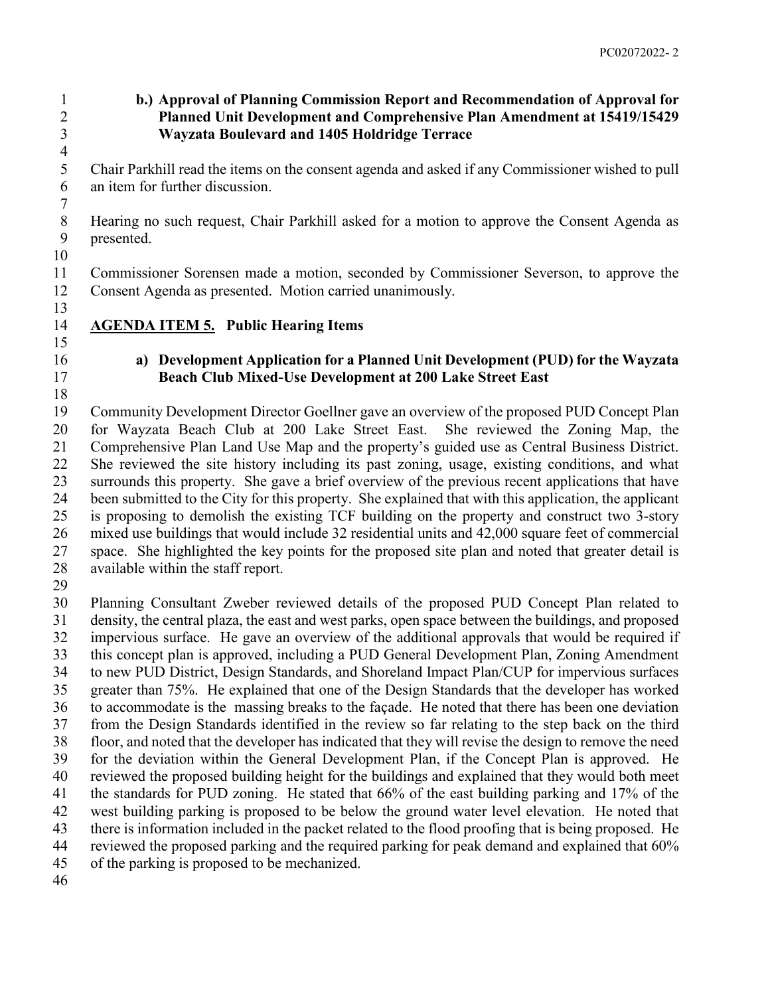#### **b.) Approval of Planning Commission Report and Recommendation of Approval for Planned Unit Development and Comprehensive Plan Amendment at 15419/15429 Wayzata Boulevard and 1405 Holdridge Terrace**

 $\frac{4}{5}$  Chair Parkhill read the items on the consent agenda and asked if any Commissioner wished to pull an item for further discussion.

 Hearing no such request, Chair Parkhill asked for a motion to approve the Consent Agenda as presented.

 Commissioner Sorensen made a motion, seconded by Commissioner Severson, to approve the Consent Agenda as presented. Motion carried unanimously.

**AGENDA ITEM 5. Public Hearing Items**

## 

## **a) Development Application for a Planned Unit Development (PUD) for the Wayzata Beach Club Mixed-Use Development at 200 Lake Street East**

 Community Development Director Goellner gave an overview of the proposed PUD Concept Plan for Wayzata Beach Club at 200 Lake Street East. She reviewed the Zoning Map, the Comprehensive Plan Land Use Map and the property's guided use as Central Business District. She reviewed the site history including its past zoning, usage, existing conditions, and what surrounds this property. She gave a brief overview of the previous recent applications that have been submitted to the City for this property. She explained that with this application, the applicant is proposing to demolish the existing TCF building on the property and construct two 3-story mixed use buildings that would include 32 residential units and 42,000 square feet of commercial space. She highlighted the key points for the proposed site plan and noted that greater detail is available within the staff report.

 Planning Consultant Zweber reviewed details of the proposed PUD Concept Plan related to density, the central plaza, the east and west parks, open space between the buildings, and proposed impervious surface. He gave an overview of the additional approvals that would be required if this concept plan is approved, including a PUD General Development Plan, Zoning Amendment to new PUD District, Design Standards, and Shoreland Impact Plan/CUP for impervious surfaces greater than 75%. He explained that one of the Design Standards that the developer has worked to accommodate is the massing breaks to the façade. He noted that there has been one deviation from the Design Standards identified in the review so far relating to the step back on the third floor, and noted that the developer has indicated that they will revise the design to remove the need for the deviation within the General Development Plan, if the Concept Plan is approved. He reviewed the proposed building height for the buildings and explained that they would both meet the standards for PUD zoning. He stated that 66% of the east building parking and 17% of the west building parking is proposed to be below the ground water level elevation. He noted that there is information included in the packet related to the flood proofing that is being proposed. He reviewed the proposed parking and the required parking for peak demand and explained that 60% of the parking is proposed to be mechanized.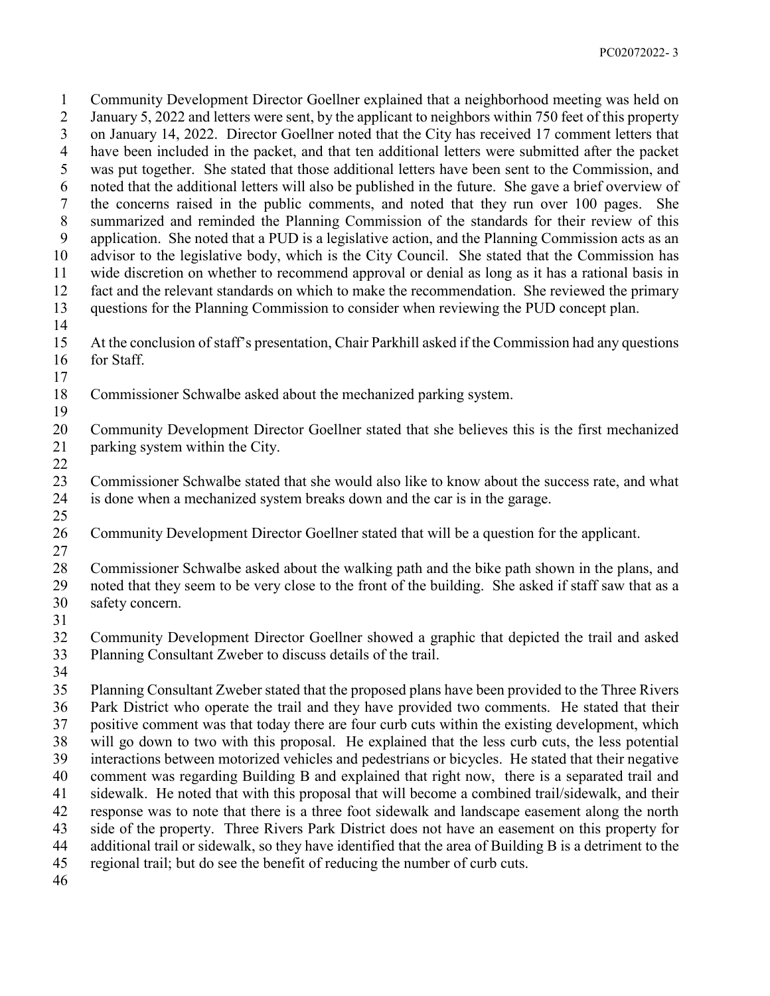Community Development Director Goellner explained that a neighborhood meeting was held on January 5, 2022 and letters were sent, by the applicant to neighbors within 750 feet of this property on January 14, 2022. Director Goellner noted that the City has received 17 comment letters that have been included in the packet, and that ten additional letters were submitted after the packet was put together. She stated that those additional letters have been sent to the Commission, and noted that the additional letters will also be published in the future. She gave a brief overview of the concerns raised in the public comments, and noted that they run over 100 pages. She summarized and reminded the Planning Commission of the standards for their review of this application. She noted that a PUD is a legislative action, and the Planning Commission acts as an advisor to the legislative body, which is the City Council. She stated that the Commission has wide discretion on whether to recommend approval or denial as long as it has a rational basis in fact and the relevant standards on which to make the recommendation. She reviewed the primary questions for the Planning Commission to consider when reviewing the PUD concept plan. At the conclusion of staff's presentation, Chair Parkhill asked if the Commission had any questions for Staff. Commissioner Schwalbe asked about the mechanized parking system. Community Development Director Goellner stated that she believes this is the first mechanized parking system within the City. Commissioner Schwalbe stated that she would also like to know about the success rate, and what is done when a mechanized system breaks down and the car is in the garage. Community Development Director Goellner stated that will be a question for the applicant. Commissioner Schwalbe asked about the walking path and the bike path shown in the plans, and noted that they seem to be very close to the front of the building. She asked if staff saw that as a safety concern. Community Development Director Goellner showed a graphic that depicted the trail and asked Planning Consultant Zweber to discuss details of the trail. Planning Consultant Zweber stated that the proposed plans have been provided to the Three Rivers Park District who operate the trail and they have provided two comments. He stated that their positive comment was that today there are four curb cuts within the existing development, which will go down to two with this proposal. He explained that the less curb cuts, the less potential interactions between motorized vehicles and pedestrians or bicycles. He stated that their negative comment was regarding Building B and explained that right now, there is a separated trail and sidewalk. He noted that with this proposal that will become a combined trail/sidewalk, and their response was to note that there is a three foot sidewalk and landscape easement along the north side of the property. Three Rivers Park District does not have an easement on this property for additional trail or sidewalk, so they have identified that the area of Building B is a detriment to the regional trail; but do see the benefit of reducing the number of curb cuts.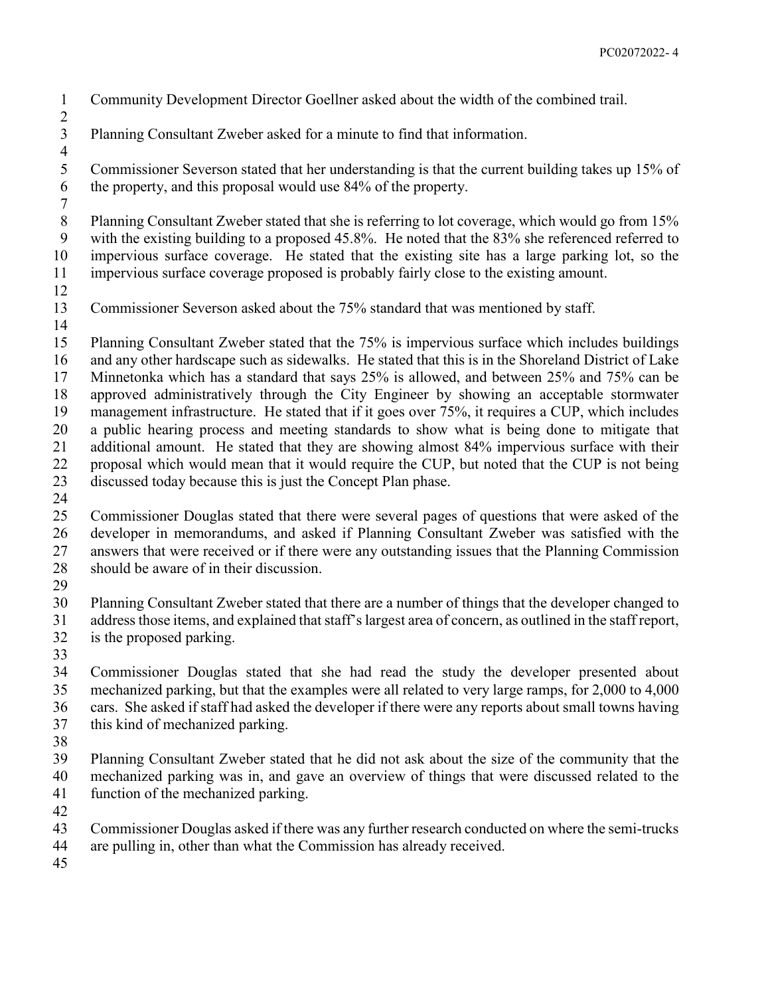- Community Development Director Goellner asked about the width of the combined trail.
- Planning Consultant Zweber asked for a minute to find that information.
- $\frac{4}{5}$  Commissioner Severson stated that her understanding is that the current building takes up 15% of the property, and this proposal would use 84% of the property.
- Planning Consultant Zweber stated that she is referring to lot coverage, which would go from 15% with the existing building to a proposed 45.8%. He noted that the 83% she referenced referred to impervious surface coverage. He stated that the existing site has a large parking lot, so the impervious surface coverage proposed is probably fairly close to the existing amount.
- 

- Commissioner Severson asked about the 75% standard that was mentioned by staff.
- 
- Planning Consultant Zweber stated that the 75% is impervious surface which includes buildings and any other hardscape such as sidewalks. He stated that this is in the Shoreland District of Lake Minnetonka which has a standard that says 25% is allowed, and between 25% and 75% can be approved administratively through the City Engineer by showing an acceptable stormwater management infrastructure. He stated that if it goes over 75%, it requires a CUP, which includes a public hearing process and meeting standards to show what is being done to mitigate that additional amount. He stated that they are showing almost 84% impervious surface with their proposal which would mean that it would require the CUP, but noted that the CUP is not being discussed today because this is just the Concept Plan phase.
- 
- Commissioner Douglas stated that there were several pages of questions that were asked of the developer in memorandums, and asked if Planning Consultant Zweber was satisfied with the answers that were received or if there were any outstanding issues that the Planning Commission should be aware of in their discussion.
- 
- Planning Consultant Zweber stated that there are a number of things that the developer changed to address those items, and explained that staff's largest area of concern, as outlined in the staff report, is the proposed parking.
- 
- Commissioner Douglas stated that she had read the study the developer presented about mechanized parking, but that the examples were all related to very large ramps, for 2,000 to 4,000 cars. She asked if staff had asked the developer if there were any reports about small towns having this kind of mechanized parking.
- 
- Planning Consultant Zweber stated that he did not ask about the size of the community that the mechanized parking was in, and gave an overview of things that were discussed related to the function of the mechanized parking.
- 
- Commissioner Douglas asked if there was any further research conducted on where the semi-trucks
- are pulling in, other than what the Commission has already received.
-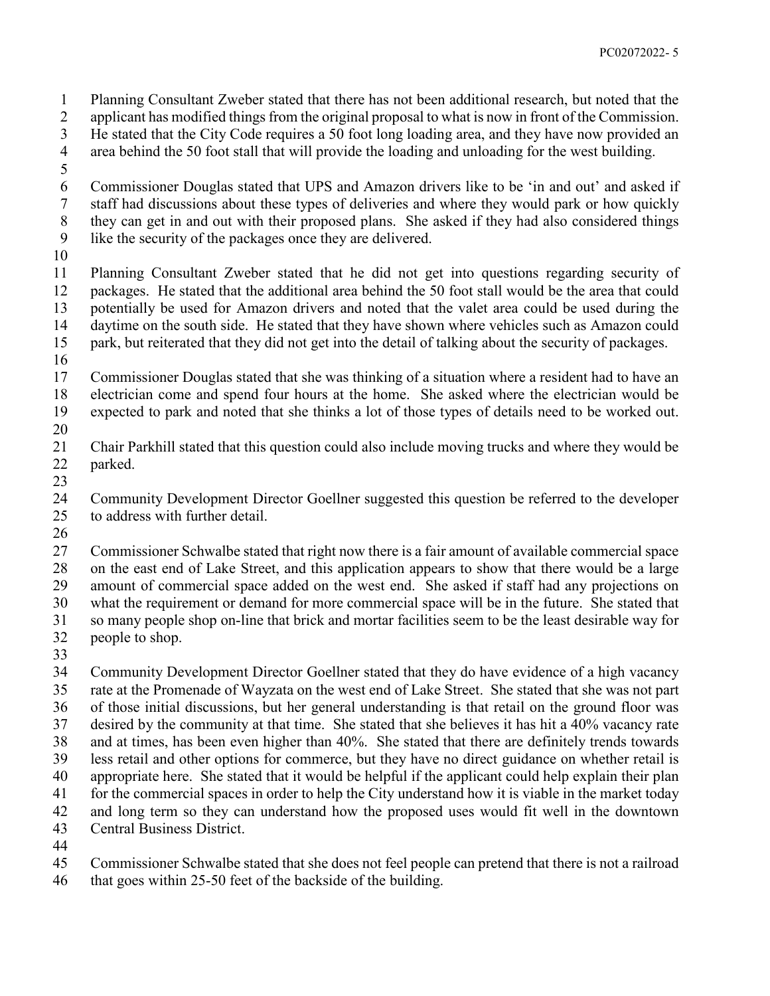Planning Consultant Zweber stated that there has not been additional research, but noted that the applicant has modified things from the original proposal to what is now in front of the Commission.

- He stated that the City Code requires a 50 foot long loading area, and they have now provided an
- area behind the 50 foot stall that will provide the loading and unloading for the west building.
- 
- Commissioner Douglas stated that UPS and Amazon drivers like to be 'in and out' and asked if staff had discussions about these types of deliveries and where they would park or how quickly they can get in and out with their proposed plans. She asked if they had also considered things like the security of the packages once they are delivered.
- 

 Planning Consultant Zweber stated that he did not get into questions regarding security of packages. He stated that the additional area behind the 50 foot stall would be the area that could potentially be used for Amazon drivers and noted that the valet area could be used during the daytime on the south side. He stated that they have shown where vehicles such as Amazon could park, but reiterated that they did not get into the detail of talking about the security of packages.

 Commissioner Douglas stated that she was thinking of a situation where a resident had to have an electrician come and spend four hours at the home. She asked where the electrician would be expected to park and noted that she thinks a lot of those types of details need to be worked out. 

- Chair Parkhill stated that this question could also include moving trucks and where they would be parked.
- 

 Community Development Director Goellner suggested this question be referred to the developer to address with further detail.

 Commissioner Schwalbe stated that right now there is a fair amount of available commercial space on the east end of Lake Street, and this application appears to show that there would be a large amount of commercial space added on the west end. She asked if staff had any projections on what the requirement or demand for more commercial space will be in the future. She stated that so many people shop on-line that brick and mortar facilities seem to be the least desirable way for people to shop.

 Community Development Director Goellner stated that they do have evidence of a high vacancy rate at the Promenade of Wayzata on the west end of Lake Street. She stated that she was not part of those initial discussions, but her general understanding is that retail on the ground floor was desired by the community at that time. She stated that she believes it has hit a 40% vacancy rate and at times, has been even higher than 40%. She stated that there are definitely trends towards less retail and other options for commerce, but they have no direct guidance on whether retail is appropriate here. She stated that it would be helpful if the applicant could help explain their plan for the commercial spaces in order to help the City understand how it is viable in the market today and long term so they can understand how the proposed uses would fit well in the downtown Central Business District.

Commissioner Schwalbe stated that she does not feel people can pretend that there is not a railroad

that goes within 25-50 feet of the backside of the building.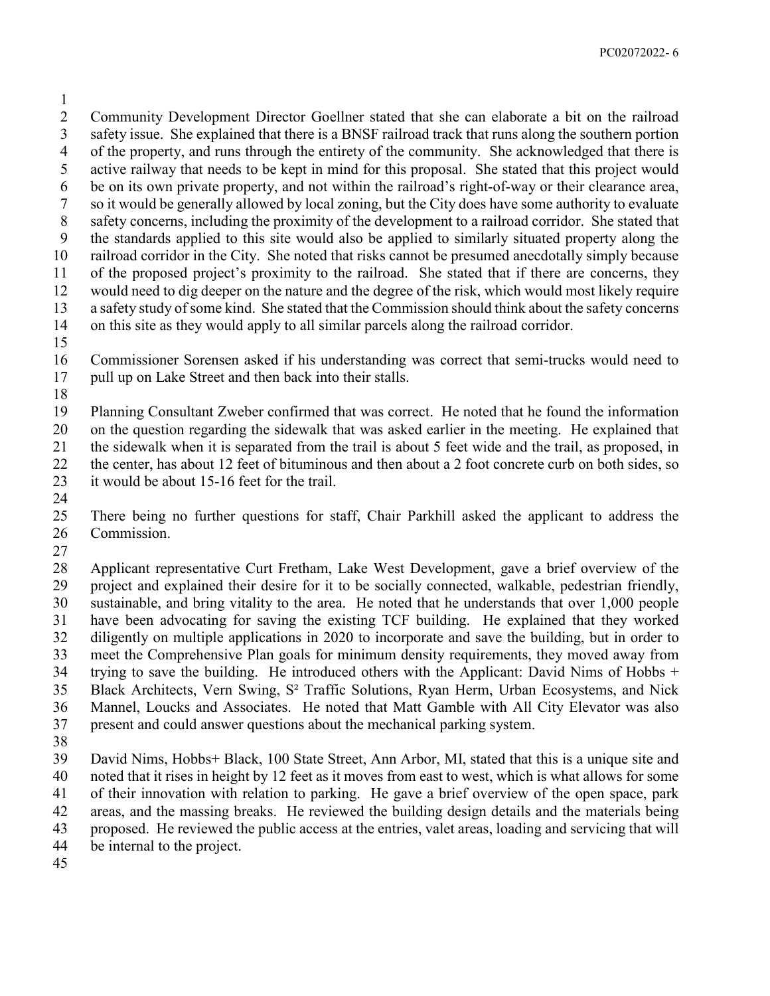Community Development Director Goellner stated that she can elaborate a bit on the railroad safety issue. She explained that there is a BNSF railroad track that runs along the southern portion of the property, and runs through the entirety of the community. She acknowledged that there is active railway that needs to be kept in mind for this proposal. She stated that this project would be on its own private property, and not within the railroad's right-of-way or their clearance area, so it would be generally allowed by local zoning, but the City does have some authority to evaluate safety concerns, including the proximity of the development to a railroad corridor. She stated that the standards applied to this site would also be applied to similarly situated property along the railroad corridor in the City. She noted that risks cannot be presumed anecdotally simply because of the proposed project's proximity to the railroad. She stated that if there are concerns, they would need to dig deeper on the nature and the degree of the risk, which would most likely require a safety study of some kind. She stated that the Commission should think about the safety concerns on this site as they would apply to all similar parcels along the railroad corridor.

 Commissioner Sorensen asked if his understanding was correct that semi-trucks would need to pull up on Lake Street and then back into their stalls.

 Planning Consultant Zweber confirmed that was correct. He noted that he found the information on the question regarding the sidewalk that was asked earlier in the meeting. He explained that the sidewalk when it is separated from the trail is about 5 feet wide and the trail, as proposed, in the center, has about 12 feet of bituminous and then about a 2 foot concrete curb on both sides, so it would be about 15-16 feet for the trail.

 There being no further questions for staff, Chair Parkhill asked the applicant to address the Commission.

 Applicant representative Curt Fretham, Lake West Development, gave a brief overview of the project and explained their desire for it to be socially connected, walkable, pedestrian friendly, sustainable, and bring vitality to the area. He noted that he understands that over 1,000 people have been advocating for saving the existing TCF building. He explained that they worked diligently on multiple applications in 2020 to incorporate and save the building, but in order to meet the Comprehensive Plan goals for minimum density requirements, they moved away from trying to save the building. He introduced others with the Applicant: David Nims of Hobbs + Black Architects, Vern Swing, S² Traffic Solutions, Ryan Herm, Urban Ecosystems, and Nick Mannel, Loucks and Associates. He noted that Matt Gamble with All City Elevator was also present and could answer questions about the mechanical parking system.

 David Nims, Hobbs+ Black, 100 State Street, Ann Arbor, MI, stated that this is a unique site and noted that it rises in height by 12 feet as it moves from east to west, which is what allows for some of their innovation with relation to parking. He gave a brief overview of the open space, park areas, and the massing breaks. He reviewed the building design details and the materials being proposed. He reviewed the public access at the entries, valet areas, loading and servicing that will be internal to the project.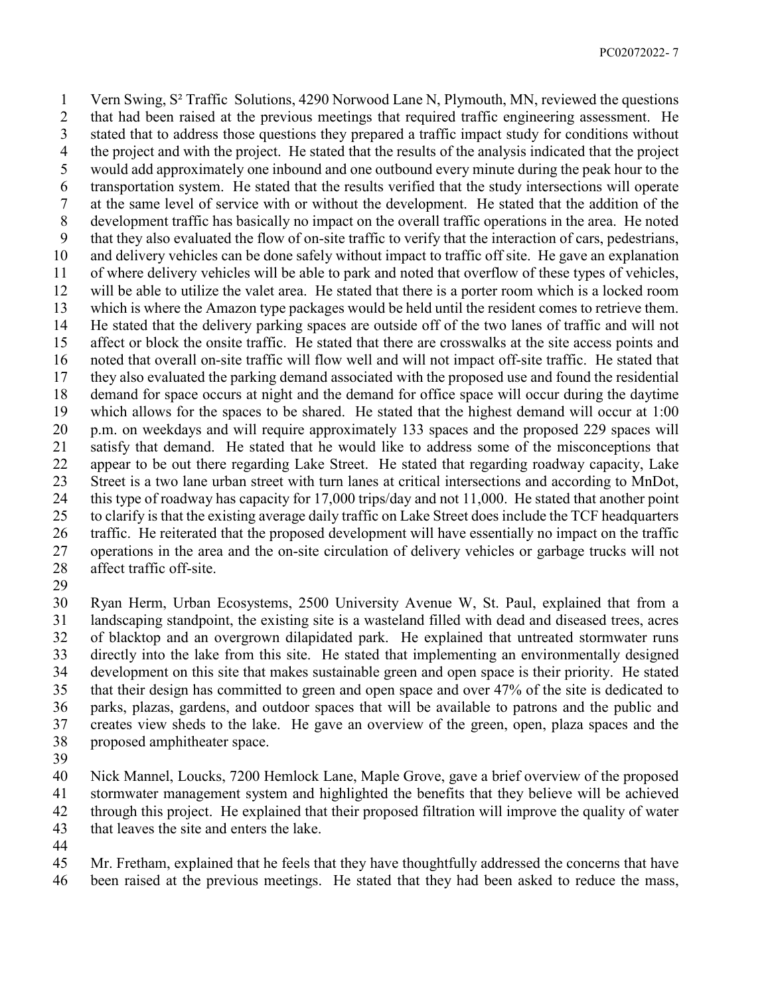Vern Swing, S² Traffic Solutions, 4290 Norwood Lane N, Plymouth, MN, reviewed the questions that had been raised at the previous meetings that required traffic engineering assessment. He stated that to address those questions they prepared a traffic impact study for conditions without the project and with the project. He stated that the results of the analysis indicated that the project would add approximately one inbound and one outbound every minute during the peak hour to the transportation system. He stated that the results verified that the study intersections will operate at the same level of service with or without the development. He stated that the addition of the development traffic has basically no impact on the overall traffic operations in the area. He noted that they also evaluated the flow of on-site traffic to verify that the interaction of cars, pedestrians, and delivery vehicles can be done safely without impact to traffic off site. He gave an explanation of where delivery vehicles will be able to park and noted that overflow of these types of vehicles, will be able to utilize the valet area. He stated that there is a porter room which is a locked room which is where the Amazon type packages would be held until the resident comes to retrieve them. He stated that the delivery parking spaces are outside off of the two lanes of traffic and will not affect or block the onsite traffic. He stated that there are crosswalks at the site access points and noted that overall on-site traffic will flow well and will not impact off-site traffic. He stated that they also evaluated the parking demand associated with the proposed use and found the residential demand for space occurs at night and the demand for office space will occur during the daytime which allows for the spaces to be shared. He stated that the highest demand will occur at 1:00 p.m. on weekdays and will require approximately 133 spaces and the proposed 229 spaces will satisfy that demand. He stated that he would like to address some of the misconceptions that appear to be out there regarding Lake Street. He stated that regarding roadway capacity, Lake Street is a two lane urban street with turn lanes at critical intersections and according to MnDot, this type of roadway has capacity for 17,000 trips/day and not 11,000. He stated that another point to clarify is that the existing average daily traffic on Lake Street does include the TCF headquarters traffic. He reiterated that the proposed development will have essentially no impact on the traffic operations in the area and the on-site circulation of delivery vehicles or garbage trucks will not affect traffic off-site.

 Ryan Herm, Urban Ecosystems, 2500 University Avenue W, St. Paul, explained that from a landscaping standpoint, the existing site is a wasteland filled with dead and diseased trees, acres of blacktop and an overgrown dilapidated park. He explained that untreated stormwater runs directly into the lake from this site. He stated that implementing an environmentally designed development on this site that makes sustainable green and open space is their priority. He stated that their design has committed to green and open space and over 47% of the site is dedicated to parks, plazas, gardens, and outdoor spaces that will be available to patrons and the public and creates view sheds to the lake. He gave an overview of the green, open, plaza spaces and the proposed amphitheater space.

 Nick Mannel, Loucks, 7200 Hemlock Lane, Maple Grove, gave a brief overview of the proposed stormwater management system and highlighted the benefits that they believe will be achieved through this project. He explained that their proposed filtration will improve the quality of water that leaves the site and enters the lake.

 Mr. Fretham, explained that he feels that they have thoughtfully addressed the concerns that have been raised at the previous meetings. He stated that they had been asked to reduce the mass,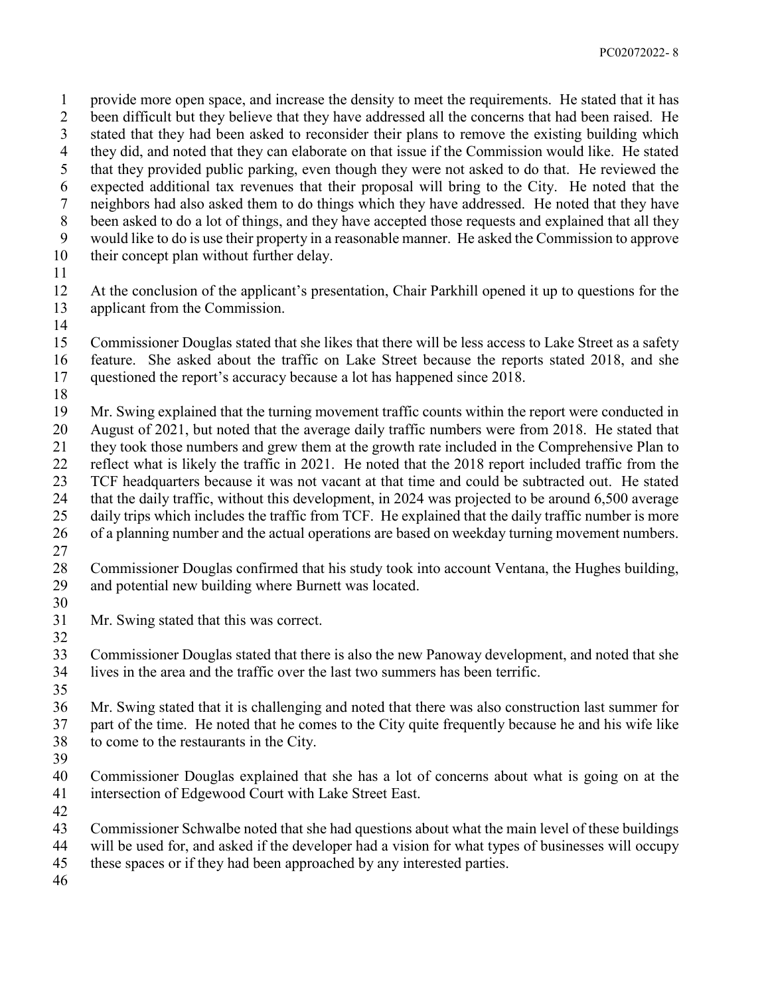provide more open space, and increase the density to meet the requirements. He stated that it has been difficult but they believe that they have addressed all the concerns that had been raised. He stated that they had been asked to reconsider their plans to remove the existing building which they did, and noted that they can elaborate on that issue if the Commission would like. He stated that they provided public parking, even though they were not asked to do that. He reviewed the expected additional tax revenues that their proposal will bring to the City. He noted that the neighbors had also asked them to do things which they have addressed. He noted that they have been asked to do a lot of things, and they have accepted those requests and explained that all they would like to do is use their property in a reasonable manner. He asked the Commission to approve their concept plan without further delay.

 At the conclusion of the applicant's presentation, Chair Parkhill opened it up to questions for the applicant from the Commission.

 Commissioner Douglas stated that she likes that there will be less access to Lake Street as a safety feature. She asked about the traffic on Lake Street because the reports stated 2018, and she questioned the report's accuracy because a lot has happened since 2018.

 Mr. Swing explained that the turning movement traffic counts within the report were conducted in August of 2021, but noted that the average daily traffic numbers were from 2018. He stated that they took those numbers and grew them at the growth rate included in the Comprehensive Plan to reflect what is likely the traffic in 2021. He noted that the 2018 report included traffic from the TCF headquarters because it was not vacant at that time and could be subtracted out. He stated that the daily traffic, without this development, in 2024 was projected to be around 6,500 average

daily trips which includes the traffic from TCF. He explained that the daily traffic number is more

- of a planning number and the actual operations are based on weekday turning movement numbers.
- 

 Commissioner Douglas confirmed that his study took into account Ventana, the Hughes building, and potential new building where Burnett was located.

 Mr. Swing stated that this was correct. 

 Commissioner Douglas stated that there is also the new Panoway development, and noted that she lives in the area and the traffic over the last two summers has been terrific.

 Mr. Swing stated that it is challenging and noted that there was also construction last summer for part of the time. He noted that he comes to the City quite frequently because he and his wife like to come to the restaurants in the City.

 Commissioner Douglas explained that she has a lot of concerns about what is going on at the intersection of Edgewood Court with Lake Street East.

Commissioner Schwalbe noted that she had questions about what the main level of these buildings

- will be used for, and asked if the developer had a vision for what types of businesses will occupy
- these spaces or if they had been approached by any interested parties.
-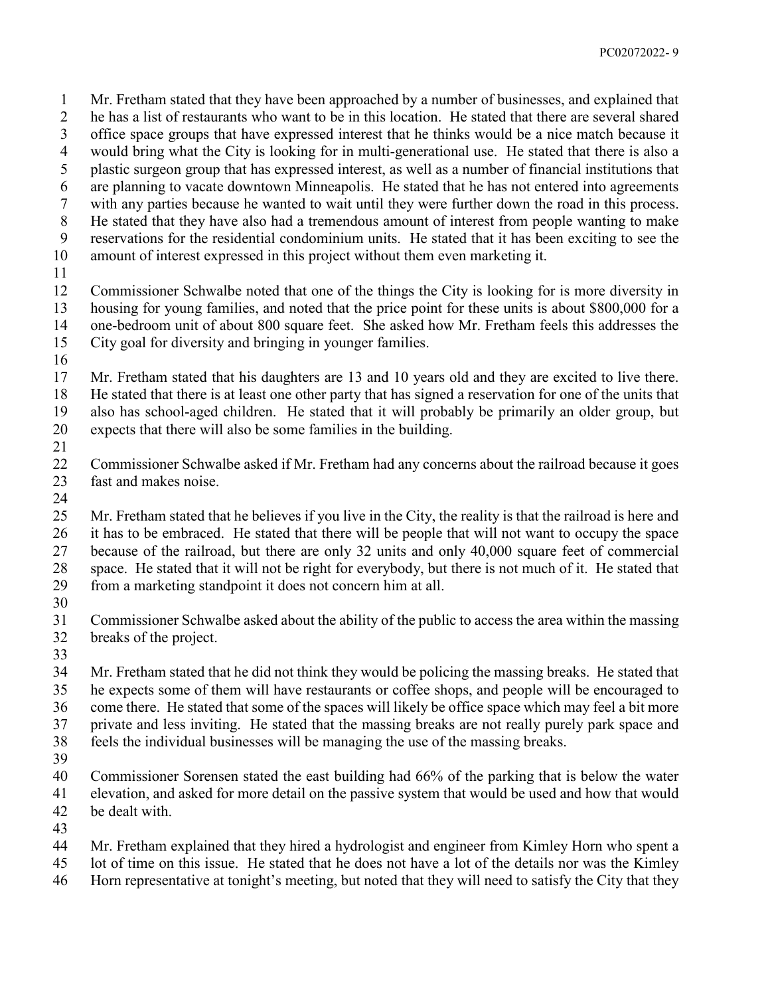Mr. Fretham stated that they have been approached by a number of businesses, and explained that he has a list of restaurants who want to be in this location. He stated that there are several shared office space groups that have expressed interest that he thinks would be a nice match because it would bring what the City is looking for in multi-generational use. He stated that there is also a plastic surgeon group that has expressed interest, as well as a number of financial institutions that are planning to vacate downtown Minneapolis. He stated that he has not entered into agreements with any parties because he wanted to wait until they were further down the road in this process. He stated that they have also had a tremendous amount of interest from people wanting to make reservations for the residential condominium units. He stated that it has been exciting to see the amount of interest expressed in this project without them even marketing it. Commissioner Schwalbe noted that one of the things the City is looking for is more diversity in housing for young families, and noted that the price point for these units is about \$800,000 for a one-bedroom unit of about 800 square feet. She asked how Mr. Fretham feels this addresses the City goal for diversity and bringing in younger families.

 Mr. Fretham stated that his daughters are 13 and 10 years old and they are excited to live there. He stated that there is at least one other party that has signed a reservation for one of the units that also has school-aged children. He stated that it will probably be primarily an older group, but expects that there will also be some families in the building.

 Commissioner Schwalbe asked if Mr. Fretham had any concerns about the railroad because it goes fast and makes noise.

 Mr. Fretham stated that he believes if you live in the City, the reality is that the railroad is here and it has to be embraced. He stated that there will be people that will not want to occupy the space because of the railroad, but there are only 32 units and only 40,000 square feet of commercial space. He stated that it will not be right for everybody, but there is not much of it. He stated that from a marketing standpoint it does not concern him at all.

 Commissioner Schwalbe asked about the ability of the public to access the area within the massing breaks of the project.

 Mr. Fretham stated that he did not think they would be policing the massing breaks. He stated that he expects some of them will have restaurants or coffee shops, and people will be encouraged to come there. He stated that some of the spaces will likely be office space which may feel a bit more private and less inviting. He stated that the massing breaks are not really purely park space and feels the individual businesses will be managing the use of the massing breaks.

Commissioner Sorensen stated the east building had 66% of the parking that is below the water

- elevation, and asked for more detail on the passive system that would be used and how that would
- be dealt with.
- Mr. Fretham explained that they hired a hydrologist and engineer from Kimley Horn who spent a
- lot of time on this issue. He stated that he does not have a lot of the details nor was the Kimley
- Horn representative at tonight's meeting, but noted that they will need to satisfy the City that they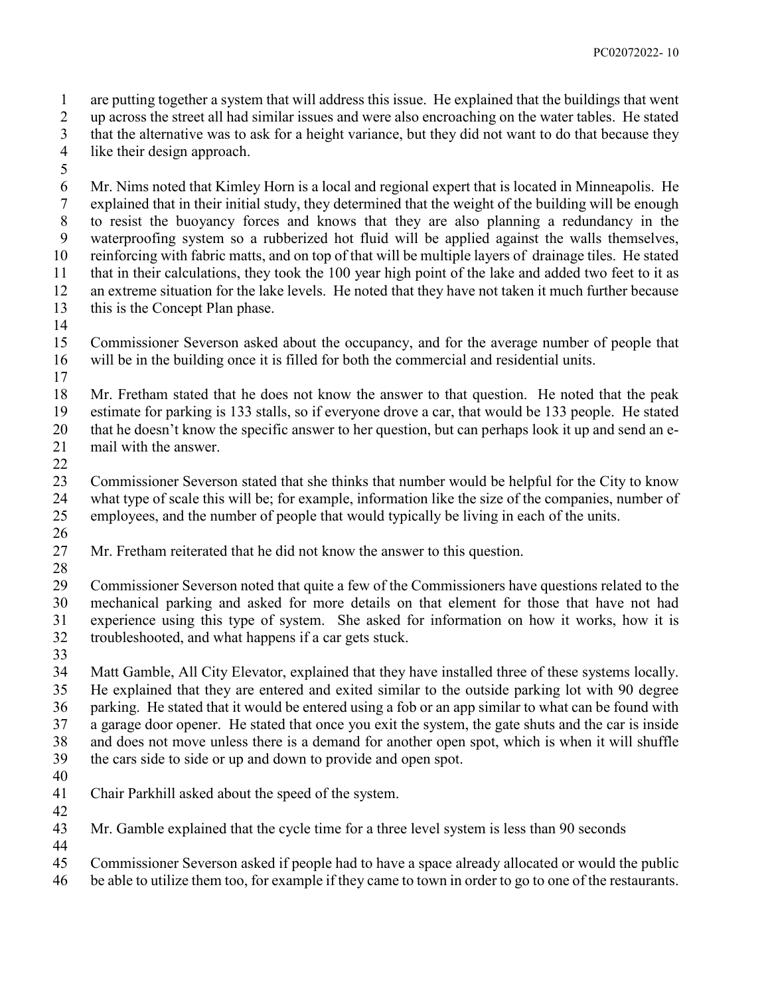are putting together a system that will address this issue. He explained that the buildings that went up across the street all had similar issues and were also encroaching on the water tables. He stated

that the alternative was to ask for a height variance, but they did not want to do that because they

- like their design approach.
- 

 Mr. Nims noted that Kimley Horn is a local and regional expert that is located in Minneapolis. He explained that in their initial study, they determined that the weight of the building will be enough to resist the buoyancy forces and knows that they are also planning a redundancy in the waterproofing system so a rubberized hot fluid will be applied against the walls themselves, reinforcing with fabric matts, and on top of that will be multiple layers of drainage tiles. He stated that in their calculations, they took the 100 year high point of the lake and added two feet to it as an extreme situation for the lake levels. He noted that they have not taken it much further because this is the Concept Plan phase.

 Commissioner Severson asked about the occupancy, and for the average number of people that will be in the building once it is filled for both the commercial and residential units.

 Mr. Fretham stated that he does not know the answer to that question. He noted that the peak estimate for parking is 133 stalls, so if everyone drove a car, that would be 133 people. He stated that he doesn't know the specific answer to her question, but can perhaps look it up and send an e-mail with the answer.

 Commissioner Severson stated that she thinks that number would be helpful for the City to know what type of scale this will be; for example, information like the size of the companies, number of employees, and the number of people that would typically be living in each of the units. 

- Mr. Fretham reiterated that he did not know the answer to this question.
- 

 Commissioner Severson noted that quite a few of the Commissioners have questions related to the mechanical parking and asked for more details on that element for those that have not had experience using this type of system. She asked for information on how it works, how it is troubleshooted, and what happens if a car gets stuck.

 Matt Gamble, All City Elevator, explained that they have installed three of these systems locally. He explained that they are entered and exited similar to the outside parking lot with 90 degree parking. He stated that it would be entered using a fob or an app similar to what can be found with a garage door opener. He stated that once you exit the system, the gate shuts and the car is inside and does not move unless there is a demand for another open spot, which is when it will shuffle the cars side to side or up and down to provide and open spot.

- 
- Chair Parkhill asked about the speed of the system.
- 

 Mr. Gamble explained that the cycle time for a three level system is less than 90 seconds 

Commissioner Severson asked if people had to have a space already allocated or would the public

be able to utilize them too, for example if they came to town in order to go to one of the restaurants.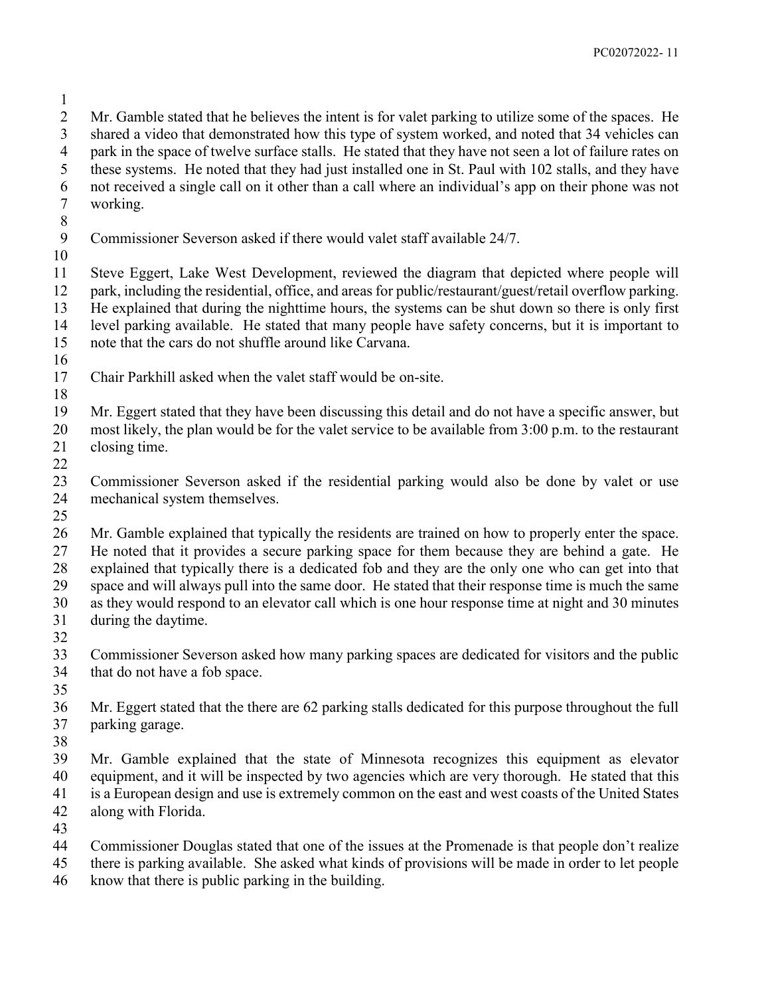Mr. Gamble stated that he believes the intent is for valet parking to utilize some of the spaces. He shared a video that demonstrated how this type of system worked, and noted that 34 vehicles can park in the space of twelve surface stalls. He stated that they have not seen a lot of failure rates on these systems. He noted that they had just installed one in St. Paul with 102 stalls, and they have not received a single call on it other than a call where an individual's app on their phone was not working. Commissioner Severson asked if there would valet staff available 24/7. Steve Eggert, Lake West Development, reviewed the diagram that depicted where people will park, including the residential, office, and areas for public/restaurant/guest/retail overflow parking. He explained that during the nighttime hours, the systems can be shut down so there is only first level parking available. He stated that many people have safety concerns, but it is important to note that the cars do not shuffle around like Carvana. Chair Parkhill asked when the valet staff would be on-site. Mr. Eggert stated that they have been discussing this detail and do not have a specific answer, but most likely, the plan would be for the valet service to be available from 3:00 p.m. to the restaurant closing time. Commissioner Severson asked if the residential parking would also be done by valet or use mechanical system themselves. Mr. Gamble explained that typically the residents are trained on how to properly enter the space. He noted that it provides a secure parking space for them because they are behind a gate. He explained that typically there is a dedicated fob and they are the only one who can get into that space and will always pull into the same door. He stated that their response time is much the same as they would respond to an elevator call which is one hour response time at night and 30 minutes during the daytime. Commissioner Severson asked how many parking spaces are dedicated for visitors and the public that do not have a fob space. Mr. Eggert stated that the there are 62 parking stalls dedicated for this purpose throughout the full parking garage. Mr. Gamble explained that the state of Minnesota recognizes this equipment as elevator equipment, and it will be inspected by two agencies which are very thorough. He stated that this is a European design and use is extremely common on the east and west coasts of the United States along with Florida. Commissioner Douglas stated that one of the issues at the Promenade is that people don't realize there is parking available. She asked what kinds of provisions will be made in order to let people know that there is public parking in the building.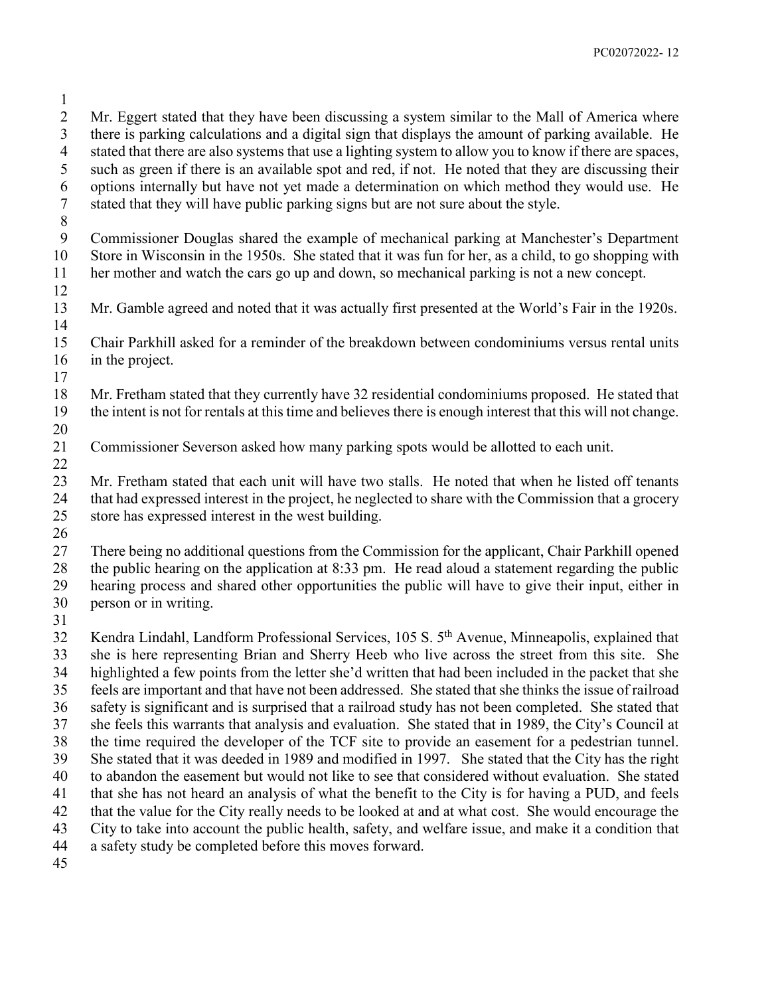Mr. Eggert stated that they have been discussing a system similar to the Mall of America where there is parking calculations and a digital sign that displays the amount of parking available. He stated that there are also systems that use a lighting system to allow you to know if there are spaces, such as green if there is an available spot and red, if not. He noted that they are discussing their options internally but have not yet made a determination on which method they would use. He stated that they will have public parking signs but are not sure about the style. Commissioner Douglas shared the example of mechanical parking at Manchester's Department Store in Wisconsin in the 1950s. She stated that it was fun for her, as a child, to go shopping with her mother and watch the cars go up and down, so mechanical parking is not a new concept. Mr. Gamble agreed and noted that it was actually first presented at the World's Fair in the 1920s. Chair Parkhill asked for a reminder of the breakdown between condominiums versus rental units in the project. Mr. Fretham stated that they currently have 32 residential condominiums proposed. He stated that the intent is not for rentals at this time and believes there is enough interest that this will not change. Commissioner Severson asked how many parking spots would be allotted to each unit. Mr. Fretham stated that each unit will have two stalls. He noted that when he listed off tenants that had expressed interest in the project, he neglected to share with the Commission that a grocery store has expressed interest in the west building. There being no additional questions from the Commission for the applicant, Chair Parkhill opened the public hearing on the application at 8:33 pm. He read aloud a statement regarding the public hearing process and shared other opportunities the public will have to give their input, either in person or in writing. 32 Kendra Lindahl, Landform Professional Services, 105 S. 5<sup>th</sup> Avenue, Minneapolis, explained that she is here representing Brian and Sherry Heeb who live across the street from this site. She highlighted a few points from the letter she'd written that had been included in the packet that she feels are important and that have not been addressed. She stated that she thinks the issue of railroad safety is significant and is surprised that a railroad study has not been completed. She stated that she feels this warrants that analysis and evaluation. She stated that in 1989, the City's Council at the time required the developer of the TCF site to provide an easement for a pedestrian tunnel. She stated that it was deeded in 1989 and modified in 1997. She stated that the City has the right to abandon the easement but would not like to see that considered without evaluation. She stated that she has not heard an analysis of what the benefit to the City is for having a PUD, and feels that the value for the City really needs to be looked at and at what cost. She would encourage the City to take into account the public health, safety, and welfare issue, and make it a condition that a safety study be completed before this moves forward.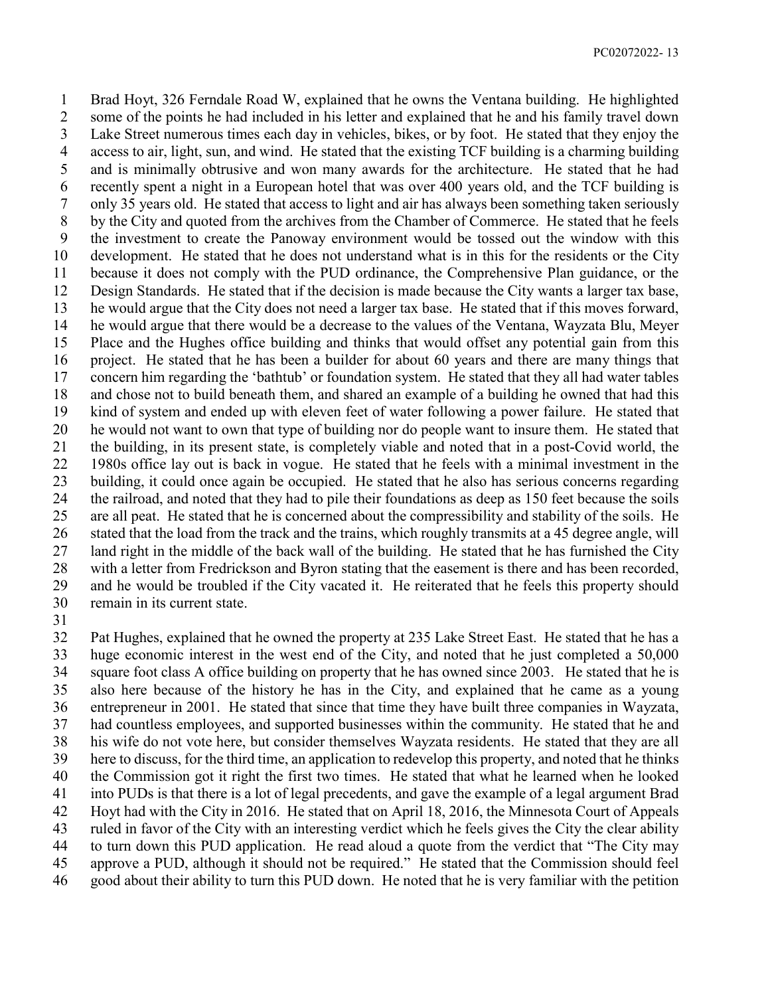Brad Hoyt, 326 Ferndale Road W, explained that he owns the Ventana building. He highlighted some of the points he had included in his letter and explained that he and his family travel down Lake Street numerous times each day in vehicles, bikes, or by foot. He stated that they enjoy the access to air, light, sun, and wind. He stated that the existing TCF building is a charming building and is minimally obtrusive and won many awards for the architecture. He stated that he had recently spent a night in a European hotel that was over 400 years old, and the TCF building is only 35 years old. He stated that access to light and air has always been something taken seriously by the City and quoted from the archives from the Chamber of Commerce. He stated that he feels the investment to create the Panoway environment would be tossed out the window with this development. He stated that he does not understand what is in this for the residents or the City because it does not comply with the PUD ordinance, the Comprehensive Plan guidance, or the Design Standards. He stated that if the decision is made because the City wants a larger tax base, he would argue that the City does not need a larger tax base. He stated that if this moves forward, he would argue that there would be a decrease to the values of the Ventana, Wayzata Blu, Meyer Place and the Hughes office building and thinks that would offset any potential gain from this project. He stated that he has been a builder for about 60 years and there are many things that concern him regarding the 'bathtub' or foundation system. He stated that they all had water tables and chose not to build beneath them, and shared an example of a building he owned that had this kind of system and ended up with eleven feet of water following a power failure. He stated that he would not want to own that type of building nor do people want to insure them. He stated that the building, in its present state, is completely viable and noted that in a post-Covid world, the 1980s office lay out is back in vogue. He stated that he feels with a minimal investment in the building, it could once again be occupied. He stated that he also has serious concerns regarding the railroad, and noted that they had to pile their foundations as deep as 150 feet because the soils are all peat. He stated that he is concerned about the compressibility and stability of the soils. He stated that the load from the track and the trains, which roughly transmits at a 45 degree angle, will land right in the middle of the back wall of the building. He stated that he has furnished the City with a letter from Fredrickson and Byron stating that the easement is there and has been recorded, and he would be troubled if the City vacated it. He reiterated that he feels this property should remain in its current state.

 Pat Hughes, explained that he owned the property at 235 Lake Street East. He stated that he has a huge economic interest in the west end of the City, and noted that he just completed a 50,000 square foot class A office building on property that he has owned since 2003. He stated that he is also here because of the history he has in the City, and explained that he came as a young entrepreneur in 2001. He stated that since that time they have built three companies in Wayzata, had countless employees, and supported businesses within the community. He stated that he and his wife do not vote here, but consider themselves Wayzata residents. He stated that they are all here to discuss, for the third time, an application to redevelop this property, and noted that he thinks the Commission got it right the first two times. He stated that what he learned when he looked into PUDs is that there is a lot of legal precedents, and gave the example of a legal argument Brad Hoyt had with the City in 2016. He stated that on April 18, 2016, the Minnesota Court of Appeals ruled in favor of the City with an interesting verdict which he feels gives the City the clear ability to turn down this PUD application. He read aloud a quote from the verdict that "The City may approve a PUD, although it should not be required." He stated that the Commission should feel good about their ability to turn this PUD down. He noted that he is very familiar with the petition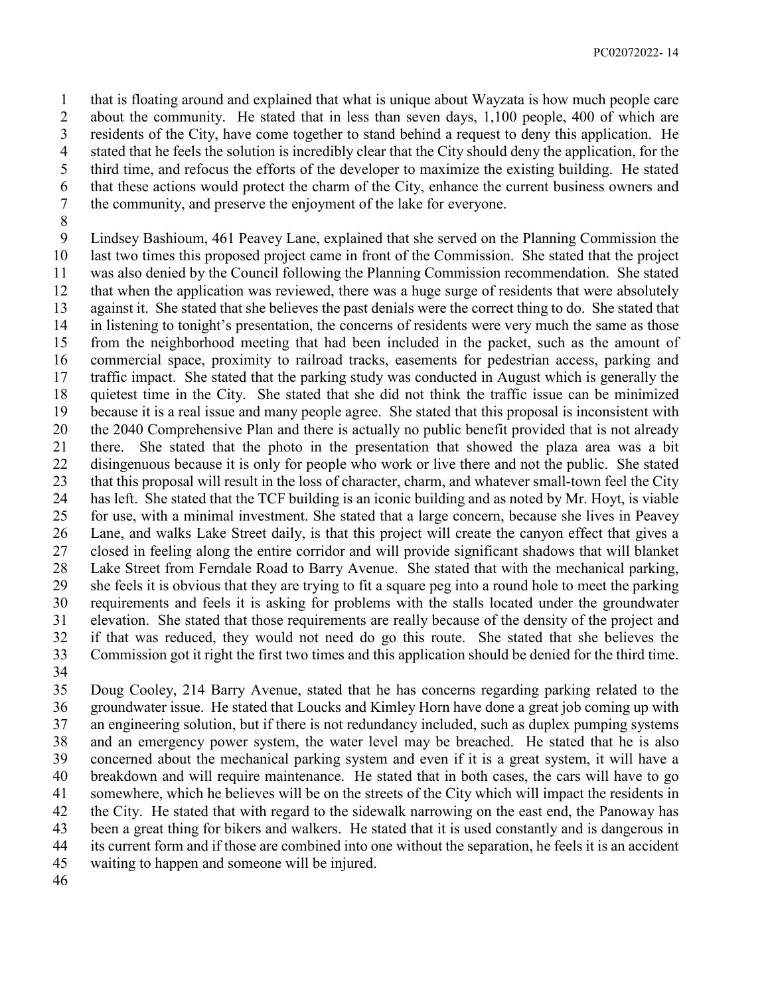that is floating around and explained that what is unique about Wayzata is how much people care about the community. He stated that in less than seven days, 1,100 people, 400 of which are residents of the City, have come together to stand behind a request to deny this application. He stated that he feels the solution is incredibly clear that the City should deny the application, for the third time, and refocus the efforts of the developer to maximize the existing building. He stated that these actions would protect the charm of the City, enhance the current business owners and the community, and preserve the enjoyment of the lake for everyone.

 Lindsey Bashioum, 461 Peavey Lane, explained that she served on the Planning Commission the last two times this proposed project came in front of the Commission. She stated that the project was also denied by the Council following the Planning Commission recommendation. She stated that when the application was reviewed, there was a huge surge of residents that were absolutely against it. She stated that she believes the past denials were the correct thing to do. She stated that in listening to tonight's presentation, the concerns of residents were very much the same as those from the neighborhood meeting that had been included in the packet, such as the amount of commercial space, proximity to railroad tracks, easements for pedestrian access, parking and traffic impact. She stated that the parking study was conducted in August which is generally the quietest time in the City. She stated that she did not think the traffic issue can be minimized because it is a real issue and many people agree. She stated that this proposal is inconsistent with the 2040 Comprehensive Plan and there is actually no public benefit provided that is not already there. She stated that the photo in the presentation that showed the plaza area was a bit disingenuous because it is only for people who work or live there and not the public. She stated that this proposal will result in the loss of character, charm, and whatever small-town feel the City has left. She stated that the TCF building is an iconic building and as noted by Mr. Hoyt, is viable for use, with a minimal investment. She stated that a large concern, because she lives in Peavey Lane, and walks Lake Street daily, is that this project will create the canyon effect that gives a closed in feeling along the entire corridor and will provide significant shadows that will blanket Lake Street from Ferndale Road to Barry Avenue. She stated that with the mechanical parking, she feels it is obvious that they are trying to fit a square peg into a round hole to meet the parking requirements and feels it is asking for problems with the stalls located under the groundwater elevation. She stated that those requirements are really because of the density of the project and if that was reduced, they would not need do go this route. She stated that she believes the Commission got it right the first two times and this application should be denied for the third time.

 Doug Cooley, 214 Barry Avenue, stated that he has concerns regarding parking related to the groundwater issue. He stated that Loucks and Kimley Horn have done a great job coming up with an engineering solution, but if there is not redundancy included, such as duplex pumping systems and an emergency power system, the water level may be breached. He stated that he is also concerned about the mechanical parking system and even if it is a great system, it will have a breakdown and will require maintenance. He stated that in both cases, the cars will have to go somewhere, which he believes will be on the streets of the City which will impact the residents in the City. He stated that with regard to the sidewalk narrowing on the east end, the Panoway has been a great thing for bikers and walkers. He stated that it is used constantly and is dangerous in its current form and if those are combined into one without the separation, he feels it is an accident waiting to happen and someone will be injured.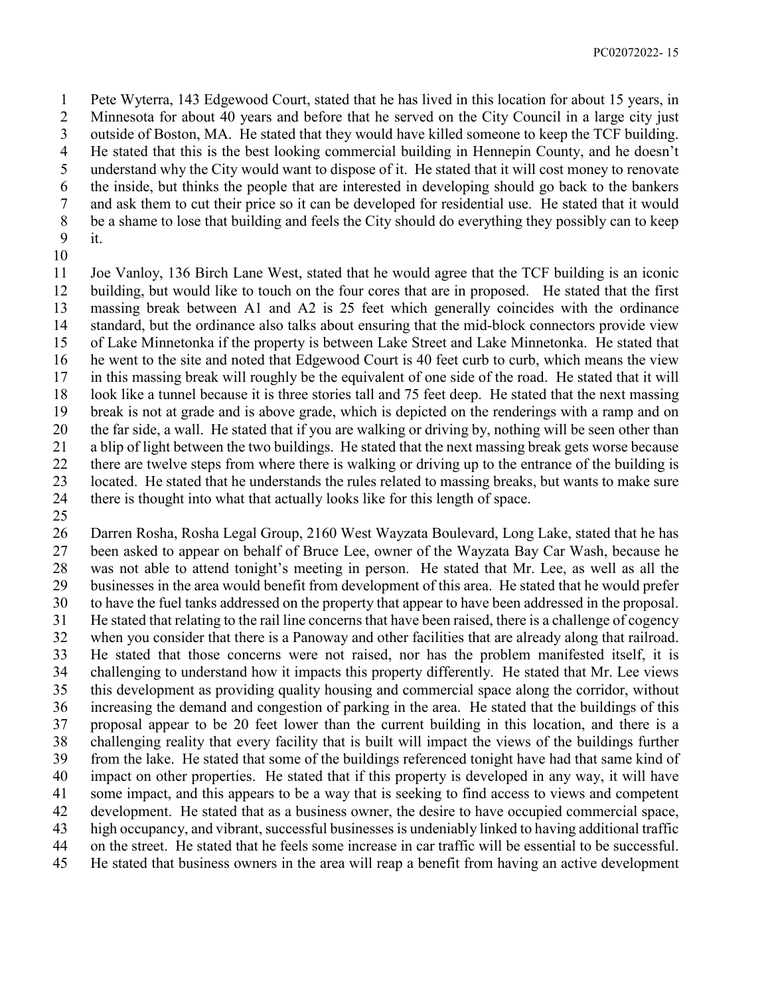Pete Wyterra, 143 Edgewood Court, stated that he has lived in this location for about 15 years, in Minnesota for about 40 years and before that he served on the City Council in a large city just outside of Boston, MA. He stated that they would have killed someone to keep the TCF building. He stated that this is the best looking commercial building in Hennepin County, and he doesn't understand why the City would want to dispose of it. He stated that it will cost money to renovate the inside, but thinks the people that are interested in developing should go back to the bankers and ask them to cut their price so it can be developed for residential use. He stated that it would be a shame to lose that building and feels the City should do everything they possibly can to keep it.

 Joe Vanloy, 136 Birch Lane West, stated that he would agree that the TCF building is an iconic building, but would like to touch on the four cores that are in proposed. He stated that the first massing break between A1 and A2 is 25 feet which generally coincides with the ordinance standard, but the ordinance also talks about ensuring that the mid-block connectors provide view of Lake Minnetonka if the property is between Lake Street and Lake Minnetonka. He stated that he went to the site and noted that Edgewood Court is 40 feet curb to curb, which means the view in this massing break will roughly be the equivalent of one side of the road. He stated that it will look like a tunnel because it is three stories tall and 75 feet deep. He stated that the next massing break is not at grade and is above grade, which is depicted on the renderings with a ramp and on the far side, a wall. He stated that if you are walking or driving by, nothing will be seen other than a blip of light between the two buildings. He stated that the next massing break gets worse because there are twelve steps from where there is walking or driving up to the entrance of the building is located. He stated that he understands the rules related to massing breaks, but wants to make sure there is thought into what that actually looks like for this length of space.

 Darren Rosha, Rosha Legal Group, 2160 West Wayzata Boulevard, Long Lake, stated that he has been asked to appear on behalf of Bruce Lee, owner of the Wayzata Bay Car Wash, because he was not able to attend tonight's meeting in person. He stated that Mr. Lee, as well as all the businesses in the area would benefit from development of this area. He stated that he would prefer to have the fuel tanks addressed on the property that appear to have been addressed in the proposal. He stated that relating to the rail line concerns that have been raised, there is a challenge of cogency when you consider that there is a Panoway and other facilities that are already along that railroad. He stated that those concerns were not raised, nor has the problem manifested itself, it is challenging to understand how it impacts this property differently. He stated that Mr. Lee views this development as providing quality housing and commercial space along the corridor, without increasing the demand and congestion of parking in the area. He stated that the buildings of this proposal appear to be 20 feet lower than the current building in this location, and there is a challenging reality that every facility that is built will impact the views of the buildings further from the lake. He stated that some of the buildings referenced tonight have had that same kind of impact on other properties. He stated that if this property is developed in any way, it will have some impact, and this appears to be a way that is seeking to find access to views and competent development. He stated that as a business owner, the desire to have occupied commercial space, high occupancy, and vibrant, successful businesses is undeniably linked to having additional traffic on the street. He stated that he feels some increase in car traffic will be essential to be successful. He stated that business owners in the area will reap a benefit from having an active development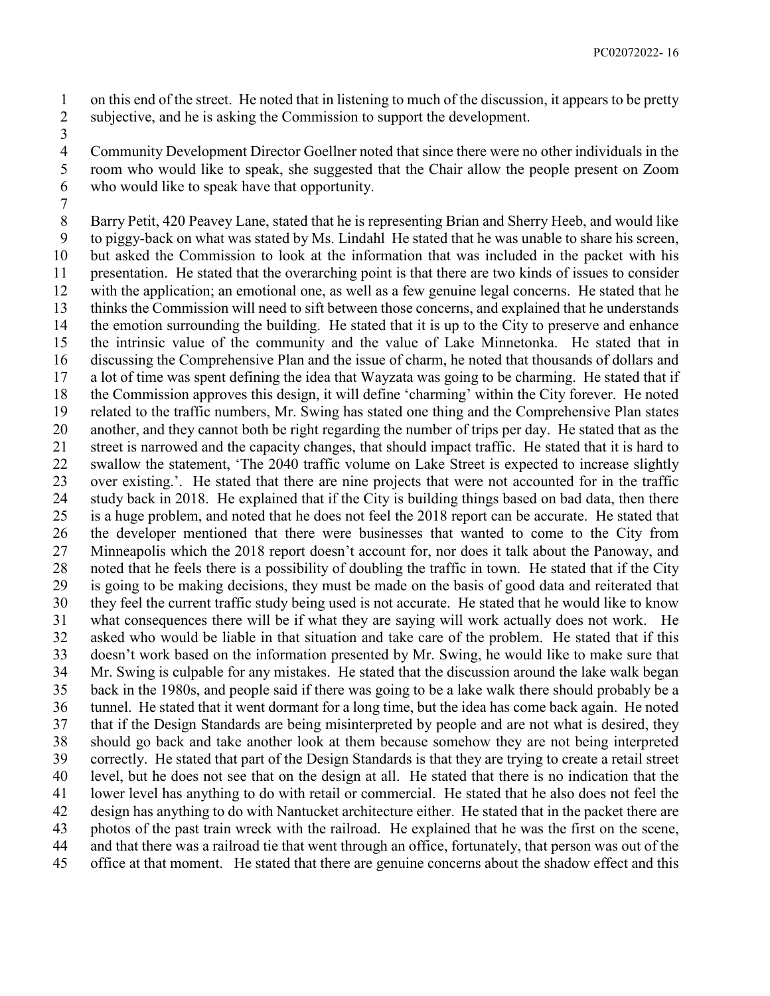on this end of the street. He noted that in listening to much of the discussion, it appears to be pretty subjective, and he is asking the Commission to support the development.

 Community Development Director Goellner noted that since there were no other individuals in the room who would like to speak, she suggested that the Chair allow the people present on Zoom who would like to speak have that opportunity.

 Barry Petit, 420 Peavey Lane, stated that he is representing Brian and Sherry Heeb, and would like to piggy-back on what was stated by Ms. Lindahl He stated that he was unable to share his screen, but asked the Commission to look at the information that was included in the packet with his presentation. He stated that the overarching point is that there are two kinds of issues to consider with the application; an emotional one, as well as a few genuine legal concerns. He stated that he thinks the Commission will need to sift between those concerns, and explained that he understands the emotion surrounding the building. He stated that it is up to the City to preserve and enhance the intrinsic value of the community and the value of Lake Minnetonka. He stated that in discussing the Comprehensive Plan and the issue of charm, he noted that thousands of dollars and a lot of time was spent defining the idea that Wayzata was going to be charming. He stated that if the Commission approves this design, it will define 'charming' within the City forever. He noted related to the traffic numbers, Mr. Swing has stated one thing and the Comprehensive Plan states another, and they cannot both be right regarding the number of trips per day. He stated that as the street is narrowed and the capacity changes, that should impact traffic. He stated that it is hard to swallow the statement, 'The 2040 traffic volume on Lake Street is expected to increase slightly over existing.'. He stated that there are nine projects that were not accounted for in the traffic study back in 2018. He explained that if the City is building things based on bad data, then there is a huge problem, and noted that he does not feel the 2018 report can be accurate. He stated that the developer mentioned that there were businesses that wanted to come to the City from Minneapolis which the 2018 report doesn't account for, nor does it talk about the Panoway, and noted that he feels there is a possibility of doubling the traffic in town. He stated that if the City is going to be making decisions, they must be made on the basis of good data and reiterated that they feel the current traffic study being used is not accurate. He stated that he would like to know what consequences there will be if what they are saying will work actually does not work. He asked who would be liable in that situation and take care of the problem. He stated that if this doesn't work based on the information presented by Mr. Swing, he would like to make sure that Mr. Swing is culpable for any mistakes. He stated that the discussion around the lake walk began back in the 1980s, and people said if there was going to be a lake walk there should probably be a tunnel. He stated that it went dormant for a long time, but the idea has come back again. He noted that if the Design Standards are being misinterpreted by people and are not what is desired, they should go back and take another look at them because somehow they are not being interpreted correctly. He stated that part of the Design Standards is that they are trying to create a retail street level, but he does not see that on the design at all. He stated that there is no indication that the lower level has anything to do with retail or commercial. He stated that he also does not feel the design has anything to do with Nantucket architecture either. He stated that in the packet there are photos of the past train wreck with the railroad. He explained that he was the first on the scene, and that there was a railroad tie that went through an office, fortunately, that person was out of the office at that moment. He stated that there are genuine concerns about the shadow effect and this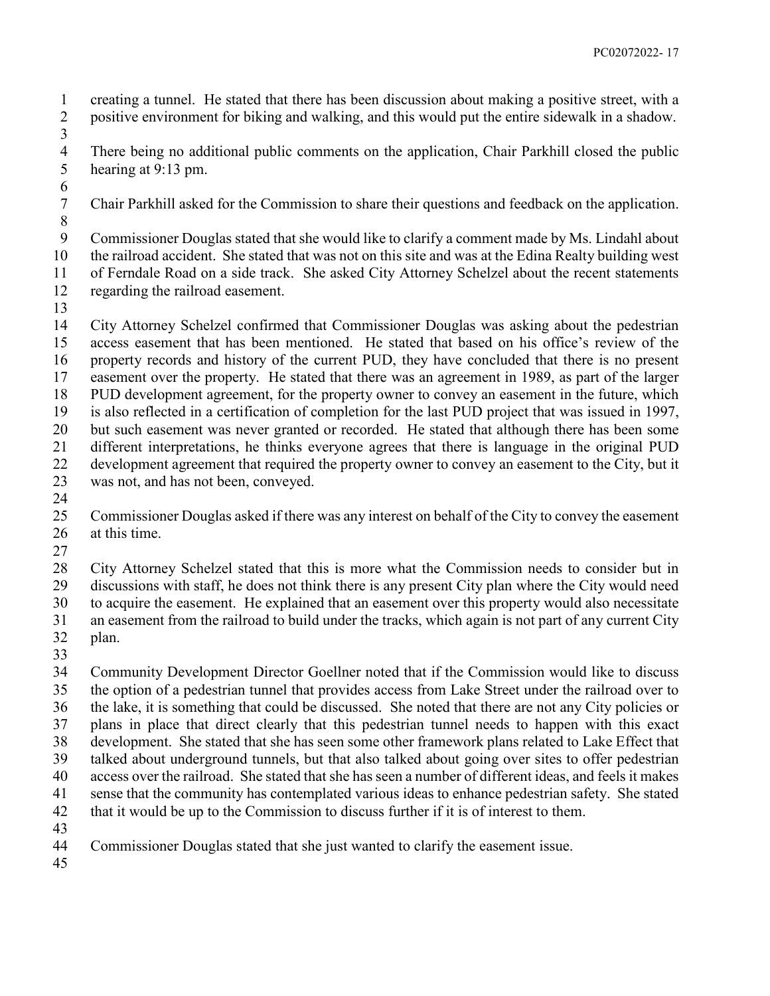creating a tunnel. He stated that there has been discussion about making a positive street, with a positive environment for biking and walking, and this would put the entire sidewalk in a shadow.

4 There being no additional public comments on the application, Chair Parkhill closed the public<br>5 hearing at 9:13 pm. hearing at 9:13 pm.

Chair Parkhill asked for the Commission to share their questions and feedback on the application.

 Commissioner Douglas stated that she would like to clarify a comment made by Ms. Lindahl about

the railroad accident. She stated that was not on this site and was at the Edina Realty building west

 of Ferndale Road on a side track. She asked City Attorney Schelzel about the recent statements regarding the railroad easement.

 City Attorney Schelzel confirmed that Commissioner Douglas was asking about the pedestrian access easement that has been mentioned. He stated that based on his office's review of the property records and history of the current PUD, they have concluded that there is no present easement over the property. He stated that there was an agreement in 1989, as part of the larger PUD development agreement, for the property owner to convey an easement in the future, which is also reflected in a certification of completion for the last PUD project that was issued in 1997, but such easement was never granted or recorded. He stated that although there has been some different interpretations, he thinks everyone agrees that there is language in the original PUD development agreement that required the property owner to convey an easement to the City, but it was not, and has not been, conveyed.

 Commissioner Douglas asked if there was any interest on behalf of the City to convey the easement at this time.

 City Attorney Schelzel stated that this is more what the Commission needs to consider but in discussions with staff, he does not think there is any present City plan where the City would need to acquire the easement. He explained that an easement over this property would also necessitate an easement from the railroad to build under the tracks, which again is not part of any current City plan.

 Community Development Director Goellner noted that if the Commission would like to discuss the option of a pedestrian tunnel that provides access from Lake Street under the railroad over to the lake, it is something that could be discussed. She noted that there are not any City policies or plans in place that direct clearly that this pedestrian tunnel needs to happen with this exact development. She stated that she has seen some other framework plans related to Lake Effect that talked about underground tunnels, but that also talked about going over sites to offer pedestrian access over the railroad. She stated that she has seen a number of different ideas, and feels it makes sense that the community has contemplated various ideas to enhance pedestrian safety. She stated that it would be up to the Commission to discuss further if it is of interest to them. 

Commissioner Douglas stated that she just wanted to clarify the easement issue.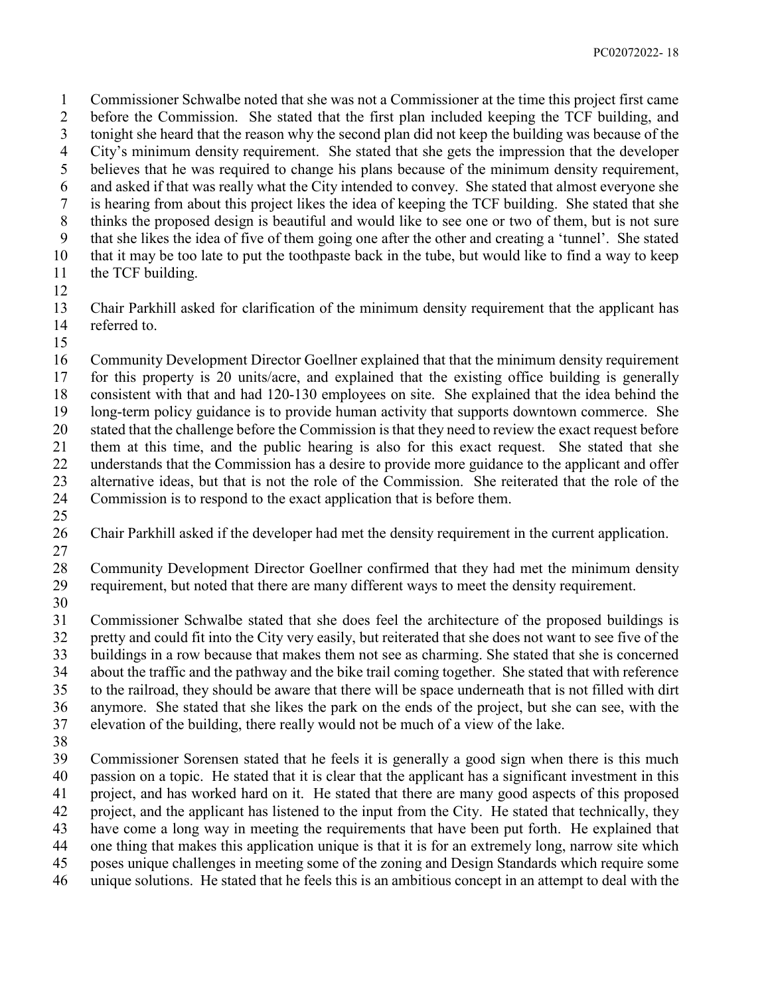Commissioner Schwalbe noted that she was not a Commissioner at the time this project first came before the Commission. She stated that the first plan included keeping the TCF building, and tonight she heard that the reason why the second plan did not keep the building was because of the City's minimum density requirement. She stated that she gets the impression that the developer believes that he was required to change his plans because of the minimum density requirement, and asked if that was really what the City intended to convey. She stated that almost everyone she is hearing from about this project likes the idea of keeping the TCF building. She stated that she thinks the proposed design is beautiful and would like to see one or two of them, but is not sure that she likes the idea of five of them going one after the other and creating a 'tunnel'. She stated that it may be too late to put the toothpaste back in the tube, but would like to find a way to keep 11 the TCF building.

 Chair Parkhill asked for clarification of the minimum density requirement that the applicant has referred to.

 Community Development Director Goellner explained that that the minimum density requirement for this property is 20 units/acre, and explained that the existing office building is generally consistent with that and had 120-130 employees on site. She explained that the idea behind the long-term policy guidance is to provide human activity that supports downtown commerce. She stated that the challenge before the Commission is that they need to review the exact request before them at this time, and the public hearing is also for this exact request. She stated that she understands that the Commission has a desire to provide more guidance to the applicant and offer alternative ideas, but that is not the role of the Commission. She reiterated that the role of the Commission is to respond to the exact application that is before them.

- Chair Parkhill asked if the developer had met the density requirement in the current application.
- Community Development Director Goellner confirmed that they had met the minimum density requirement, but noted that there are many different ways to meet the density requirement.
- 

 Commissioner Schwalbe stated that she does feel the architecture of the proposed buildings is pretty and could fit into the City very easily, but reiterated that she does not want to see five of the buildings in a row because that makes them not see as charming. She stated that she is concerned

 about the traffic and the pathway and the bike trail coming together. She stated that with reference to the railroad, they should be aware that there will be space underneath that is not filled with dirt anymore. She stated that she likes the park on the ends of the project, but she can see, with the

elevation of the building, there really would not be much of a view of the lake.

 Commissioner Sorensen stated that he feels it is generally a good sign when there is this much passion on a topic. He stated that it is clear that the applicant has a significant investment in this project, and has worked hard on it. He stated that there are many good aspects of this proposed project, and the applicant has listened to the input from the City. He stated that technically, they have come a long way in meeting the requirements that have been put forth. He explained that one thing that makes this application unique is that it is for an extremely long, narrow site which poses unique challenges in meeting some of the zoning and Design Standards which require some unique solutions. He stated that he feels this is an ambitious concept in an attempt to deal with the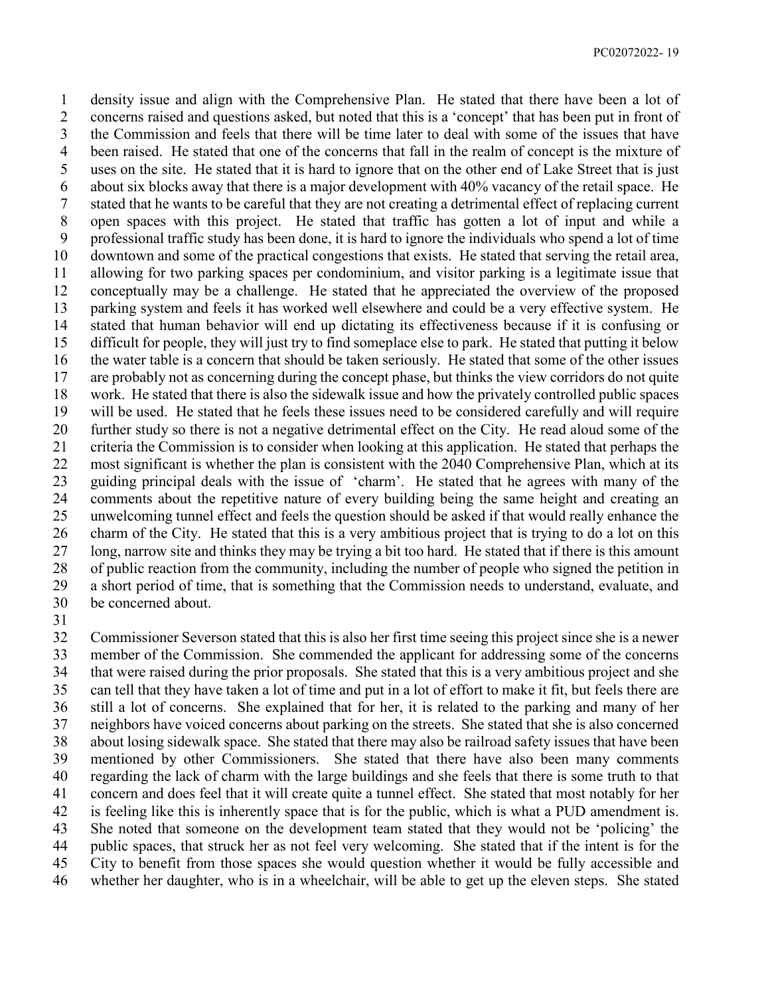density issue and align with the Comprehensive Plan. He stated that there have been a lot of concerns raised and questions asked, but noted that this is a 'concept' that has been put in front of the Commission and feels that there will be time later to deal with some of the issues that have been raised. He stated that one of the concerns that fall in the realm of concept is the mixture of uses on the site. He stated that it is hard to ignore that on the other end of Lake Street that is just about six blocks away that there is a major development with 40% vacancy of the retail space. He stated that he wants to be careful that they are not creating a detrimental effect of replacing current open spaces with this project. He stated that traffic has gotten a lot of input and while a professional traffic study has been done, it is hard to ignore the individuals who spend a lot of time downtown and some of the practical congestions that exists. He stated that serving the retail area, allowing for two parking spaces per condominium, and visitor parking is a legitimate issue that conceptually may be a challenge. He stated that he appreciated the overview of the proposed parking system and feels it has worked well elsewhere and could be a very effective system. He stated that human behavior will end up dictating its effectiveness because if it is confusing or difficult for people, they will just try to find someplace else to park. He stated that putting it below the water table is a concern that should be taken seriously. He stated that some of the other issues are probably not as concerning during the concept phase, but thinks the view corridors do not quite work. He stated that there is also the sidewalk issue and how the privately controlled public spaces will be used. He stated that he feels these issues need to be considered carefully and will require further study so there is not a negative detrimental effect on the City. He read aloud some of the criteria the Commission is to consider when looking at this application. He stated that perhaps the most significant is whether the plan is consistent with the 2040 Comprehensive Plan, which at its guiding principal deals with the issue of 'charm'. He stated that he agrees with many of the comments about the repetitive nature of every building being the same height and creating an unwelcoming tunnel effect and feels the question should be asked if that would really enhance the charm of the City. He stated that this is a very ambitious project that is trying to do a lot on this long, narrow site and thinks they may be trying a bit too hard. He stated that if there is this amount of public reaction from the community, including the number of people who signed the petition in a short period of time, that is something that the Commission needs to understand, evaluate, and be concerned about.

 Commissioner Severson stated that this is also her first time seeing this project since she is a newer member of the Commission. She commended the applicant for addressing some of the concerns that were raised during the prior proposals. She stated that this is a very ambitious project and she can tell that they have taken a lot of time and put in a lot of effort to make it fit, but feels there are still a lot of concerns. She explained that for her, it is related to the parking and many of her neighbors have voiced concerns about parking on the streets. She stated that she is also concerned about losing sidewalk space. She stated that there may also be railroad safety issues that have been mentioned by other Commissioners. She stated that there have also been many comments regarding the lack of charm with the large buildings and she feels that there is some truth to that concern and does feel that it will create quite a tunnel effect. She stated that most notably for her is feeling like this is inherently space that is for the public, which is what a PUD amendment is. She noted that someone on the development team stated that they would not be 'policing' the public spaces, that struck her as not feel very welcoming. She stated that if the intent is for the City to benefit from those spaces she would question whether it would be fully accessible and whether her daughter, who is in a wheelchair, will be able to get up the eleven steps. She stated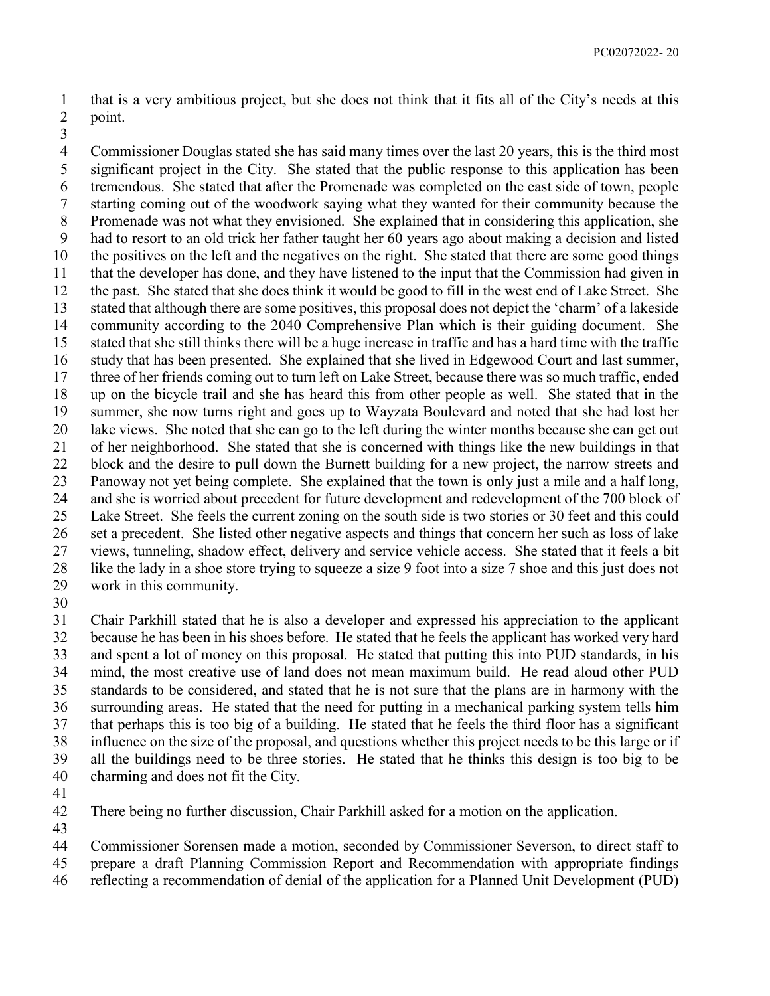that is a very ambitious project, but she does not think that it fits all of the City's needs at this point.

 Commissioner Douglas stated she has said many times over the last 20 years, this is the third most significant project in the City. She stated that the public response to this application has been tremendous. She stated that after the Promenade was completed on the east side of town, people starting coming out of the woodwork saying what they wanted for their community because the Promenade was not what they envisioned. She explained that in considering this application, she had to resort to an old trick her father taught her 60 years ago about making a decision and listed the positives on the left and the negatives on the right. She stated that there are some good things that the developer has done, and they have listened to the input that the Commission had given in the past. She stated that she does think it would be good to fill in the west end of Lake Street. She stated that although there are some positives, this proposal does not depict the 'charm' of a lakeside community according to the 2040 Comprehensive Plan which is their guiding document. She stated that she still thinks there will be a huge increase in traffic and has a hard time with the traffic study that has been presented. She explained that she lived in Edgewood Court and last summer, three of her friends coming out to turn left on Lake Street, because there was so much traffic, ended up on the bicycle trail and she has heard this from other people as well. She stated that in the summer, she now turns right and goes up to Wayzata Boulevard and noted that she had lost her lake views. She noted that she can go to the left during the winter months because she can get out of her neighborhood. She stated that she is concerned with things like the new buildings in that 22 block and the desire to pull down the Burnett building for a new project, the narrow streets and Panoway not yet being complete. She explained that the town is only just a mile and a half long, and she is worried about precedent for future development and redevelopment of the 700 block of Lake Street. She feels the current zoning on the south side is two stories or 30 feet and this could set a precedent. She listed other negative aspects and things that concern her such as loss of lake views, tunneling, shadow effect, delivery and service vehicle access. She stated that it feels a bit like the lady in a shoe store trying to squeeze a size 9 foot into a size 7 shoe and this just does not work in this community.

 Chair Parkhill stated that he is also a developer and expressed his appreciation to the applicant because he has been in his shoes before. He stated that he feels the applicant has worked very hard and spent a lot of money on this proposal. He stated that putting this into PUD standards, in his mind, the most creative use of land does not mean maximum build. He read aloud other PUD standards to be considered, and stated that he is not sure that the plans are in harmony with the surrounding areas. He stated that the need for putting in a mechanical parking system tells him that perhaps this is too big of a building. He stated that he feels the third floor has a significant influence on the size of the proposal, and questions whether this project needs to be this large or if all the buildings need to be three stories. He stated that he thinks this design is too big to be charming and does not fit the City.

There being no further discussion, Chair Parkhill asked for a motion on the application.

Commissioner Sorensen made a motion, seconded by Commissioner Severson, to direct staff to

prepare a draft Planning Commission Report and Recommendation with appropriate findings

reflecting a recommendation of denial of the application for a Planned Unit Development (PUD)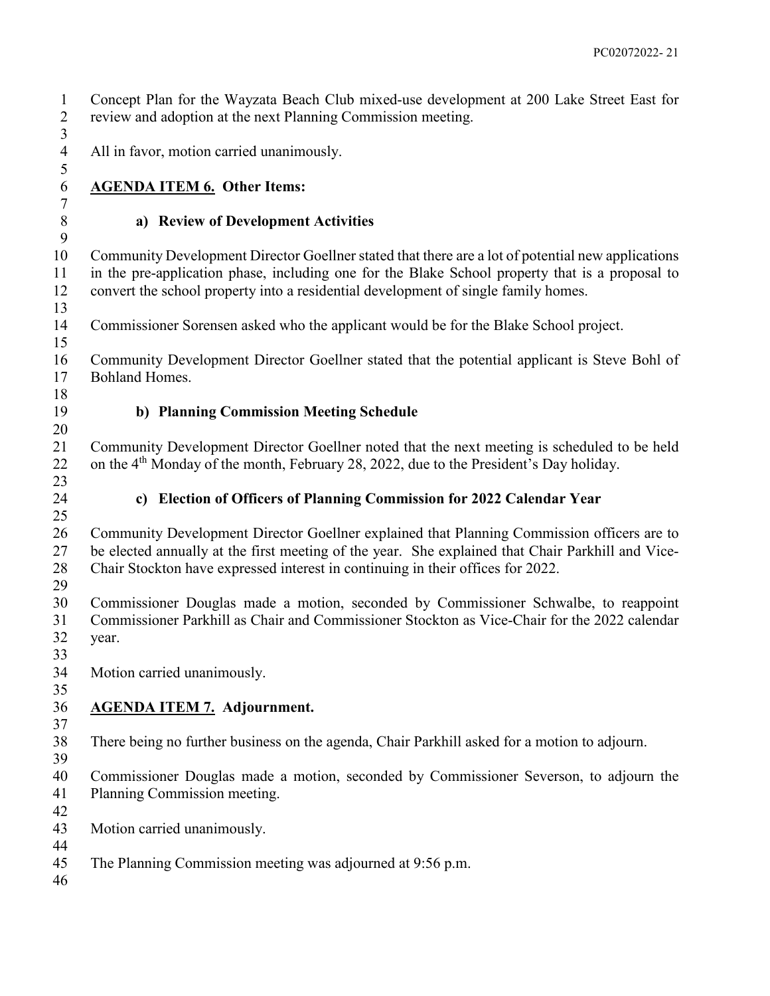Concept Plan for the Wayzata Beach Club mixed-use development at 200 Lake Street East for review and adoption at the next Planning Commission meeting.

All in favor, motion carried unanimously.

# **AGENDA ITEM 6. Other Items:**

### **a) Review of Development Activities**

 Community Development Director Goellner stated that there are a lot of potential new applications in the pre-application phase, including one for the Blake School property that is a proposal to convert the school property into a residential development of single family homes.

Commissioner Sorensen asked who the applicant would be for the Blake School project.

 Community Development Director Goellner stated that the potential applicant is Steve Bohl of Bohland Homes.

#### **b) Planning Commission Meeting Schedule**

 Community Development Director Goellner noted that the next meeting is scheduled to be held 22 on the  $4<sup>th</sup>$  Monday of the month, February 28, 2022, due to the President's Day holiday.

#### **c) Election of Officers of Planning Commission for 2022 Calendar Year**

 Community Development Director Goellner explained that Planning Commission officers are to be elected annually at the first meeting of the year. She explained that Chair Parkhill and Vice-Chair Stockton have expressed interest in continuing in their offices for 2022.

 Commissioner Douglas made a motion, seconded by Commissioner Schwalbe, to reappoint Commissioner Parkhill as Chair and Commissioner Stockton as Vice-Chair for the 2022 calendar year.

Motion carried unanimously.

#### **AGENDA ITEM 7. Adjournment.**

# There being no further business on the agenda, Chair Parkhill asked for a motion to adjourn.

 Commissioner Douglas made a motion, seconded by Commissioner Severson, to adjourn the Planning Commission meeting.

 Motion carried unanimously. 

The Planning Commission meeting was adjourned at 9:56 p.m.